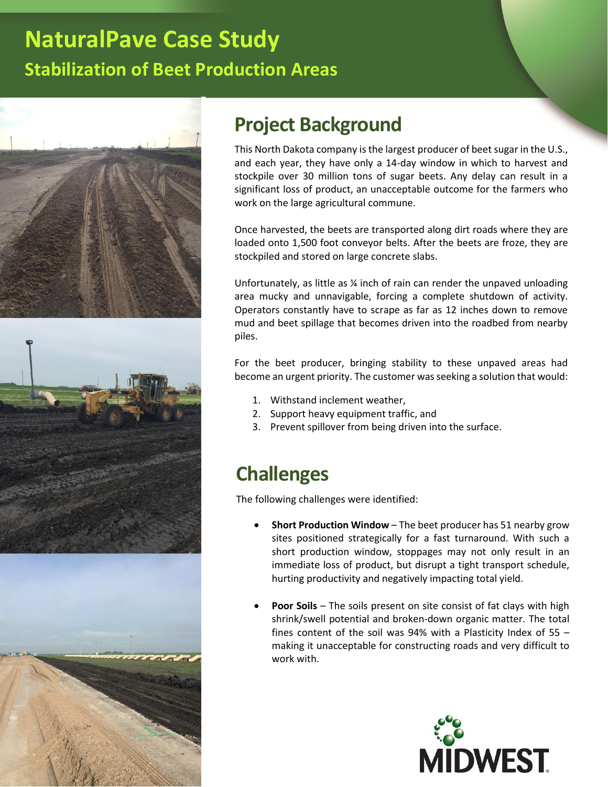# **NaturalPave Case Study Stabilization of Beet Production Areas**







## **Project Background**

This North Dakota company is the largest producer of beet sugar in the U.S., and each year, they have only a 14-day window in which to harvest and stockpile over 30 million tons of sugar beets. Any delay can result in a significant loss of product, an unacceptable outcome for the farmers who work on the large agricultural commune.

Once harvested, the beets are transported along dirt roads where they are loaded onto 1,500 foot conveyor belts. After the beets are froze, they are stockpiled and stored on large concrete slabs.

Unfortunately, as little as ¼ inch of rain can render the unpaved unloading area mucky and unnavigable, forcing a complete shutdown of activity. Operators constantly have to scrape as far as 12 inches down to remove mud and beet spillage that becomes driven into the roadbed from nearby piles.

For the beet producer, bringing stability to these unpaved areas had become an urgent priority. The customer was seeking a solution that would:

- 1. Withstand inclement weather,
- 2. Support heavy equipment traffic, and
- 3. Prevent spillover from being driven into the surface.

#### **Challenges**

The following challenges were identified:

- **Short Production Window** The beet producer has 51 nearby grow sites positioned strategically for a fast turnaround. With such a short production window, stoppages may not only result in an immediate loss of product, but disrupt a tight transport schedule, hurting productivity and negatively impacting total yield.
- **Poor Soils** The soils present on site consist of fat clays with high shrink/swell potential and broken-down organic matter. The total fines content of the soil was 94% with a Plasticity Index of 55 – making it unacceptable for constructing roads and very difficult to work with.